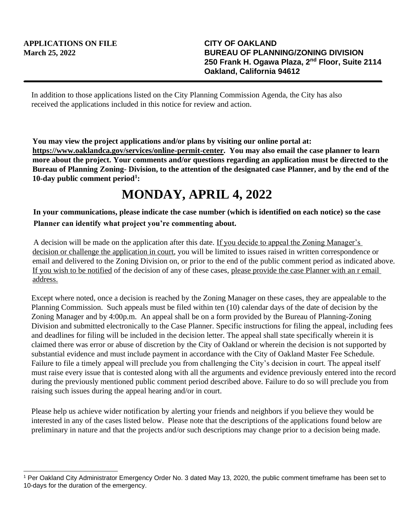In addition to those applications listed on the City Planning Commission Agenda, the City has also received the applications included in this notice for review and action.

**You may view the project applications and/or plans by visiting our online portal at: https://www.oaklandca.gov/services/online-permit-center. You may also email the case planner to learn more about the project. Your comments and/or questions regarding an application must be directed to the Bureau of Planning Zoning- Division, to the attention of the designated case Planner, and by the end of the 10-day public comment period<sup>1</sup> :**

## **MONDAY, APRIL 4, 2022**

## **In your communications, please indicate the case number (which is identified on each notice) so the case Planner can identify what project you're commenting about.**

A decision will be made on the application after this date. If you decide to appeal the Zoning Manager's decision or challenge the application in court, you will be limited to issues raised in written correspondence or email and delivered to the Zoning Division on, or prior to the end of the public comment period as indicated above. If you wish to be notified of the decision of any of these cases, please provide the case Planner with an r email address.

Except where noted, once a decision is reached by the Zoning Manager on these cases, they are appealable to the Planning Commission. Such appeals must be filed within ten (10) calendar days of the date of decision by the Zoning Manager and by 4:00p.m. An appeal shall be on a form provided by the Bureau of Planning-Zoning Division and submitted electronically to the Case Planner. Specific instructions for filing the appeal, including fees and deadlines for filing will be included in the decision letter. The appeal shall state specifically wherein it is claimed there was error or abuse of discretion by the City of Oakland or wherein the decision is not supported by substantial evidence and must include payment in accordance with the City of Oakland Master Fee Schedule. Failure to file a timely appeal will preclude you from challenging the City's decision in court. The appeal itself must raise every issue that is contested along with all the arguments and evidence previously entered into the record during the previously mentioned public comment period described above. Failure to do so will preclude you from raising such issues during the appeal hearing and/or in court.

Please help us achieve wider notification by alerting your friends and neighbors if you believe they would be interested in any of the cases listed below. Please note that the descriptions of the applications found below are preliminary in nature and that the projects and/or such descriptions may change prior to a decision being made.

<sup>1</sup> Per Oakland City Administrator Emergency Order No. 3 dated May 13, 2020, the public comment timeframe has been set to 10-days for the duration of the emergency.